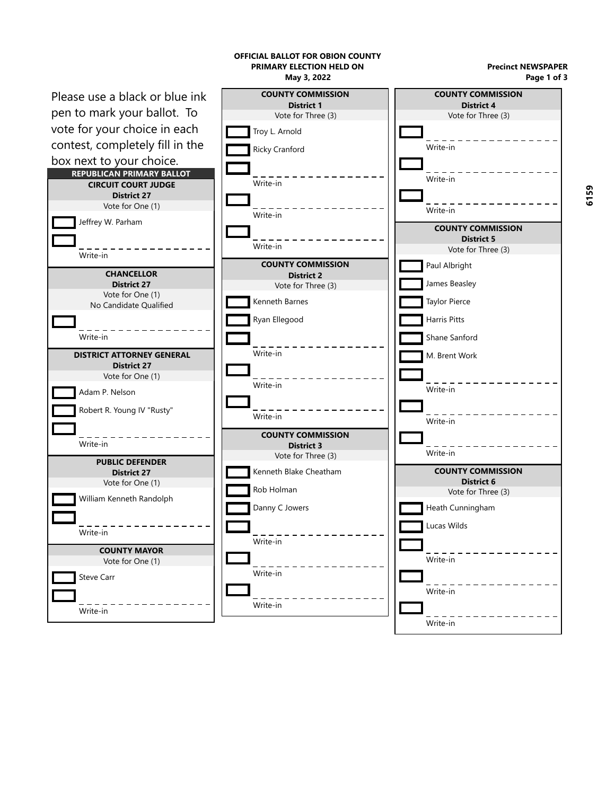

**6159**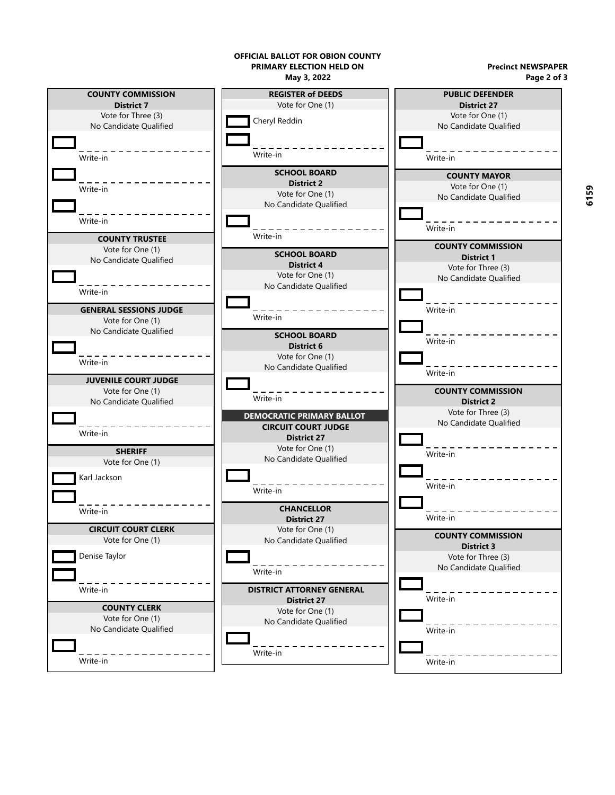

**6159**